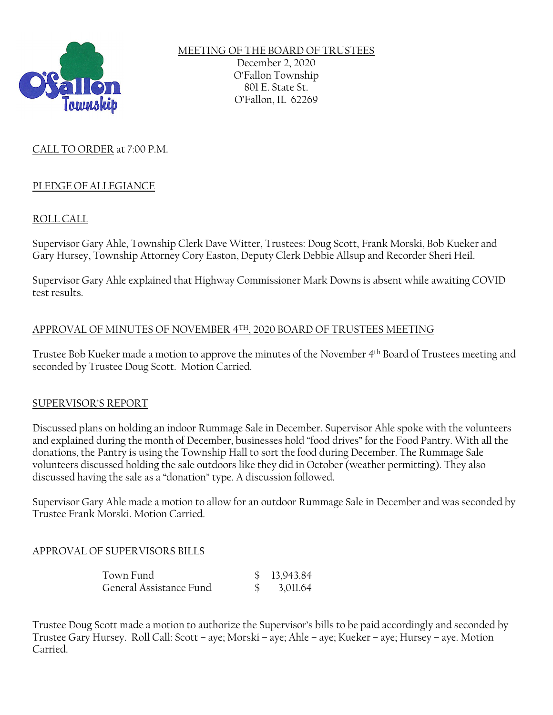

MEETING OF THE BOARD OF TRUSTEES December 2, 2020 O'Fallon Township 801 E. State St. O'Fallon, IL 62269

# CALL TO ORDER at 7:00 P.M.

## PLEDGE OF ALLEGIANCE

# ROLL CALL

Supervisor Gary Ahle, Township Clerk Dave Witter, Trustees: Doug Scott, Frank Morski, Bob Kueker and Gary Hursey, Township Attorney Cory Easton, Deputy Clerk Debbie Allsup and Recorder Sheri Heil.

Supervisor Gary Ahle explained that Highway Commissioner Mark Downs is absent while awaiting COVID test results.

### APPROVAL OF MINUTES OF NOVEMBER 4TH, 2020 BOARD OF TRUSTEES MEETING

Trustee Bob Kueker made a motion to approve the minutes of the November 4th Board of Trustees meeting and seconded by Trustee Doug Scott. Motion Carried.

## SUPERVISOR'S REPORT

Discussed plans on holding an indoor Rummage Sale in December. Supervisor Ahle spoke with the volunteers and explained during the month of December, businesses hold "food drives" for the Food Pantry. With all the donations, the Pantry is using the Township Hall to sort the food during December. The Rummage Sale volunteers discussed holding the sale outdoors like they did in October (weather permitting). They also discussed having the sale as a "donation" type. A discussion followed.

Supervisor Gary Ahle made a motion to allow for an outdoor Rummage Sale in December and was seconded by Trustee Frank Morski. Motion Carried.

## APPROVAL OF SUPERVISORS BILLS

| Town Fund               | \$13,943.84 |
|-------------------------|-------------|
| General Assistance Fund | \$3,011.64  |

Trustee Doug Scott made a motion to authorize the Supervisor's bills to be paid accordingly and seconded by Trustee Gary Hursey. Roll Call: Scott – aye; Morski – aye; Ahle – aye; Kueker – aye; Hursey – aye. Motion Carried.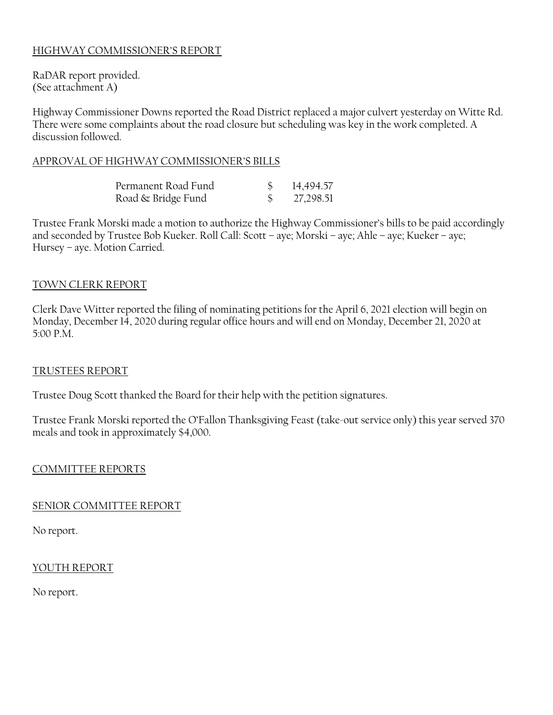# HIGHWAY COMMISSIONER'S REPORT

RaDAR report provided. (See attachment A)

Highway Commissioner Downs reported the Road District replaced a major culvert yesterday on Witte Rd. There were some complaints about the road closure but scheduling was key in the work completed. A discussion followed.

### APPROVAL OF HIGHWAY COMMISSIONER'S BILLS

| Permanent Road Fund | 14,494.57 |
|---------------------|-----------|
| Road & Bridge Fund  | 27,298.51 |

Trustee Frank Morski made a motion to authorize the Highway Commissioner's bills to be paid accordingly and seconded by Trustee Bob Kueker. Roll Call: Scott – aye; Morski – aye; Ahle – aye; Kueker – aye; Hursey – aye. Motion Carried.

### TOWN CLERK REPORT

Clerk Dave Witter reported the filing of nominating petitions for the April 6, 2021 election will begin on Monday, December 14, 2020 during regular office hours and will end on Monday, December 21, 2020 at 5:00 P.M.

#### TRUSTEES REPORT

Trustee Doug Scott thanked the Board for their help with the petition signatures.

Trustee Frank Morski reported the O'Fallon Thanksgiving Feast (take-out service only) this year served 370 meals and took in approximately \$4,000.

#### COMMITTEE REPORTS

#### SENIOR COMMITTEE REPORT

No report.

#### YOUTH REPORT

No report.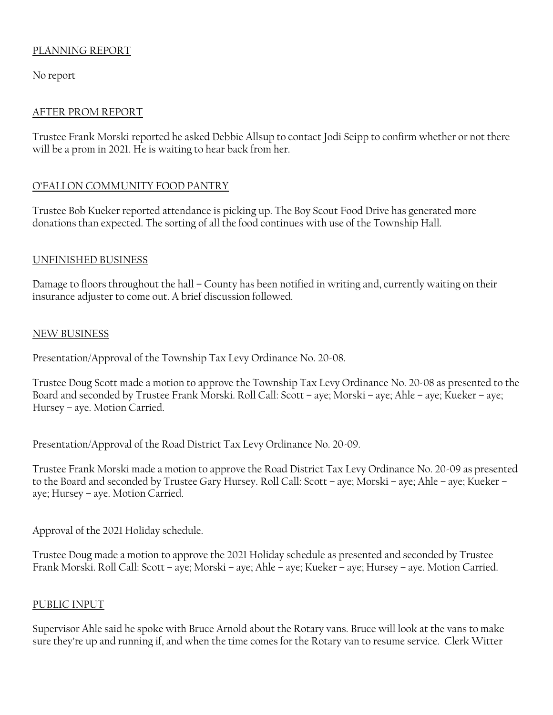# PLANNING REPORT

No report

## AFTER PROM REPORT

Trustee Frank Morski reported he asked Debbie Allsup to contact Jodi Seipp to confirm whether or not there will be a prom in 2021. He is waiting to hear back from her.

# O'FALLON COMMUNITY FOOD PANTRY

Trustee Bob Kueker reported attendance is picking up. The Boy Scout Food Drive has generated more donations than expected. The sorting of all the food continues with use of the Township Hall.

## UNFINISHED BUSINESS

Damage to floors throughout the hall – County has been notified in writing and, currently waiting on their insurance adjuster to come out. A brief discussion followed.

## NEW BUSINESS

Presentation/Approval of the Township Tax Levy Ordinance No. 20-08.

Trustee Doug Scott made a motion to approve the Township Tax Levy Ordinance No. 20-08 as presented to the Board and seconded by Trustee Frank Morski. Roll Call: Scott – aye; Morski – aye; Ahle – aye; Kueker – aye; Hursey – aye. Motion Carried.

Presentation/Approval of the Road District Tax Levy Ordinance No. 20-09.

Trustee Frank Morski made a motion to approve the Road District Tax Levy Ordinance No. 20-09 as presented to the Board and seconded by Trustee Gary Hursey. Roll Call: Scott – aye; Morski – aye; Ahle – aye; Kueker – aye; Hursey – aye. Motion Carried.

Approval of the 2021 Holiday schedule.

Trustee Doug made a motion to approve the 2021 Holiday schedule as presented and seconded by Trustee Frank Morski. Roll Call: Scott – aye; Morski – aye; Ahle – aye; Kueker – aye; Hursey – aye. Motion Carried.

## PUBLIC INPUT

Supervisor Ahle said he spoke with Bruce Arnold about the Rotary vans. Bruce will look at the vans to make sure they're up and running if, and when the time comes for the Rotary van to resume service. Clerk Witter